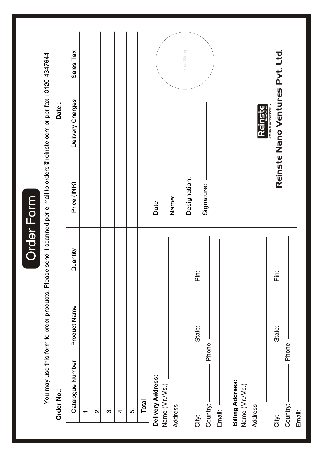Order Form

You may use this form to order products. Please send it scanned per e-mail to orders@reinste.com or per fax +0120-4347644

# Order No.:

Date.:

| Sales Tax<br>Delivery Charges<br>Price (INR) |        |                         |                |    |     |       | Your Stamp<br>Reinste Nano Ventures Pvt. Ltd.<br>Designed to deliver the purest<br><b>Reinste</b><br>Designation:<br>Signature:<br>Name:<br>Date: |           |
|----------------------------------------------|--------|-------------------------|----------------|----|-----|-------|---------------------------------------------------------------------------------------------------------------------------------------------------|-----------|
| Quantity                                     |        |                         |                |    |     |       | Pin:<br>$\frac{1}{2}$                                                                                                                             |           |
| Product Name                                 |        |                         |                |    |     |       | State:<br>State:<br>Phone:                                                                                                                        | Phone: -  |
| Catalogue Number                             | $\div$ | $\overline{\mathbf{N}}$ | $\dot{\infty}$ | 4. | io. | Total | Delivery Address:<br><b>Billing Address:</b><br>Name (Mr./Ms.)<br>Name (Mr./Ms.)<br>Country:<br>Address.<br>Address<br>Email:<br>City:<br>City:   | Country:- |